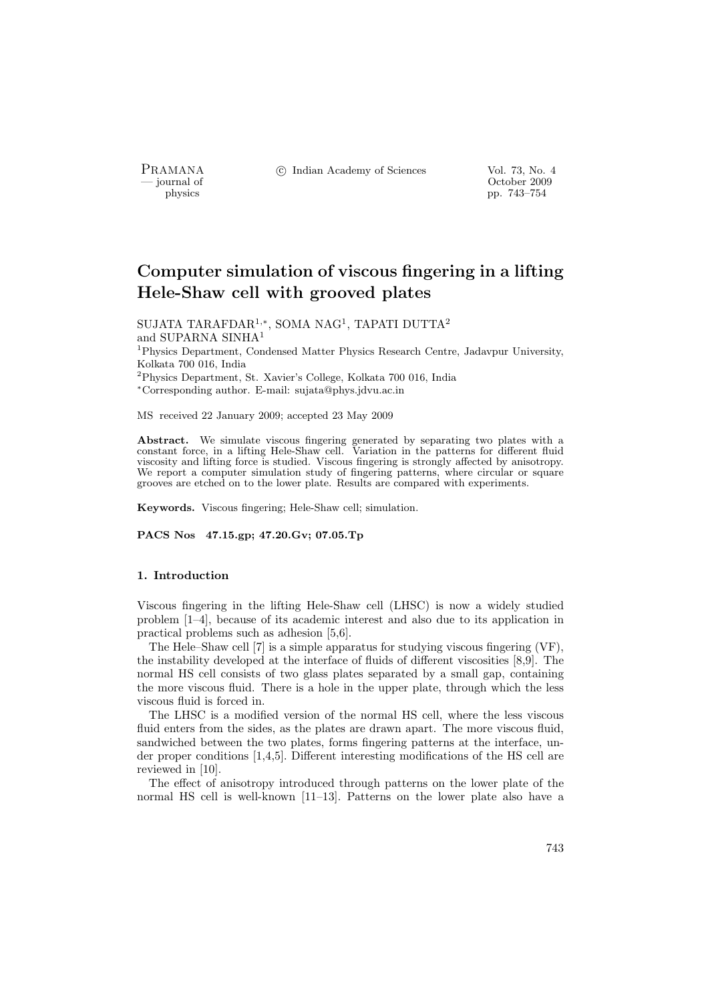PRAMANA <sup>C</sup> Indian Academy of Sciences Vol. 73, No. 4<br>
— journal of Cortober 2009

physics and the contract of the contract of the contract of the contract of the contract of the contract of the contract of the contract of the contract of the contract of the contract of the contract of the contract of th physics pp. 743–754

# Computer simulation of viscous fingering in a lifting Hele-Shaw cell with grooved plates

SUJATA TARAFDAR $^{1,\ast},$  SOMA NAG $^{1},$  TAPATI DUTTA $^{2}$ and SUPARNA SINHA<sup>1</sup> <sup>1</sup>Physics Department, Condensed Matter Physics Research Centre, Jadavpur University, Kolkata 700 016, India <sup>2</sup>Physics Department, St. Xavier's College, Kolkata 700 016, India <sup>∗</sup>Corresponding author. E-mail: sujata@phys.jdvu.ac.in

MS received 22 January 2009; accepted 23 May 2009

Abstract. We simulate viscous fingering generated by separating two plates with a constant force, in a lifting Hele-Shaw cell. Variation in the patterns for different fluid viscosity and lifting force is studied. Viscous fingering is strongly affected by anisotropy. We report a computer simulation study of fingering patterns, where circular or square grooves are etched on to the lower plate. Results are compared with experiments.

Keywords. Viscous fingering; Hele-Shaw cell; simulation.

PACS Nos 47.15.gp; 47.20.Gv; 07.05.Tp

#### 1. Introduction

Viscous fingering in the lifting Hele-Shaw cell (LHSC) is now a widely studied problem [1–4], because of its academic interest and also due to its application in practical problems such as adhesion [5,6].

The Hele–Shaw cell [7] is a simple apparatus for studying viscous fingering (VF), the instability developed at the interface of fluids of different viscosities [8,9]. The normal HS cell consists of two glass plates separated by a small gap, containing the more viscous fluid. There is a hole in the upper plate, through which the less viscous fluid is forced in.

The LHSC is a modified version of the normal HS cell, where the less viscous fluid enters from the sides, as the plates are drawn apart. The more viscous fluid, sandwiched between the two plates, forms fingering patterns at the interface, under proper conditions [1,4,5]. Different interesting modifications of the HS cell are reviewed in [10].

The effect of anisotropy introduced through patterns on the lower plate of the normal HS cell is well-known [11–13]. Patterns on the lower plate also have a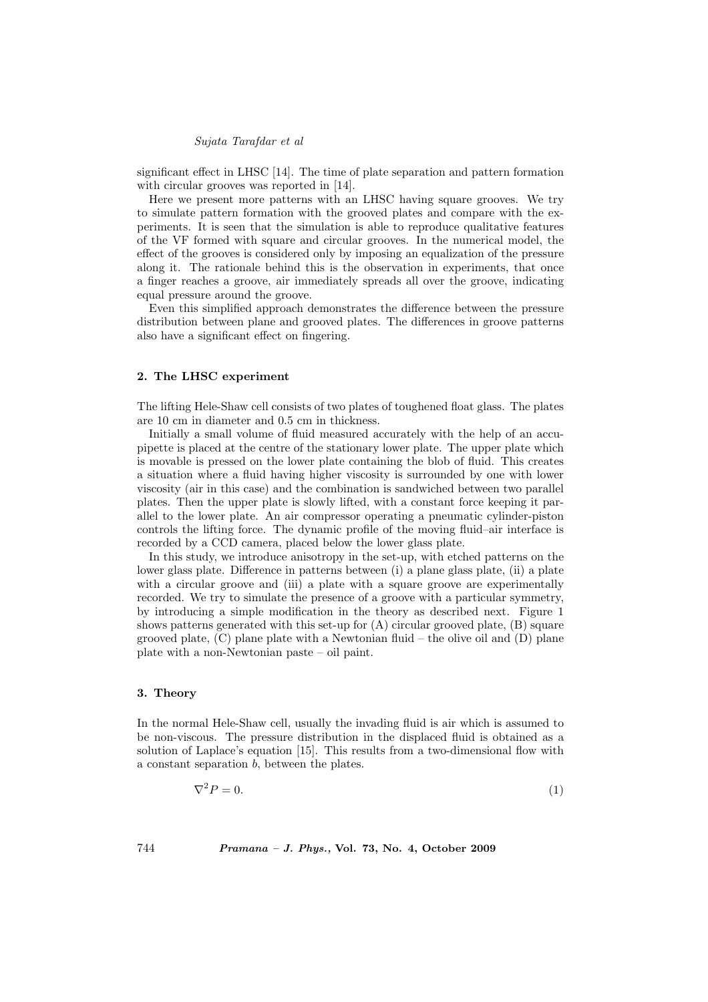## Sujata Tarafdar et al

significant effect in LHSC [14]. The time of plate separation and pattern formation with circular grooves was reported in [14].

Here we present more patterns with an LHSC having square grooves. We try to simulate pattern formation with the grooved plates and compare with the experiments. It is seen that the simulation is able to reproduce qualitative features of the VF formed with square and circular grooves. In the numerical model, the effect of the grooves is considered only by imposing an equalization of the pressure along it. The rationale behind this is the observation in experiments, that once a finger reaches a groove, air immediately spreads all over the groove, indicating equal pressure around the groove.

Even this simplified approach demonstrates the difference between the pressure distribution between plane and grooved plates. The differences in groove patterns also have a significant effect on fingering.

### 2. The LHSC experiment

The lifting Hele-Shaw cell consists of two plates of toughened float glass. The plates are 10 cm in diameter and 0.5 cm in thickness.

Initially a small volume of fluid measured accurately with the help of an accupipette is placed at the centre of the stationary lower plate. The upper plate which is movable is pressed on the lower plate containing the blob of fluid. This creates a situation where a fluid having higher viscosity is surrounded by one with lower viscosity (air in this case) and the combination is sandwiched between two parallel plates. Then the upper plate is slowly lifted, with a constant force keeping it parallel to the lower plate. An air compressor operating a pneumatic cylinder-piston controls the lifting force. The dynamic profile of the moving fluid–air interface is recorded by a CCD camera, placed below the lower glass plate.

In this study, we introduce anisotropy in the set-up, with etched patterns on the lower glass plate. Difference in patterns between (i) a plane glass plate, (ii) a plate with a circular groove and (iii) a plate with a square groove are experimentally recorded. We try to simulate the presence of a groove with a particular symmetry, by introducing a simple modification in the theory as described next. Figure 1 shows patterns generated with this set-up for  $(A)$  circular grooved plate,  $(B)$  square grooved plate,  $(C)$  plane plate with a Newtonian fluid – the olive oil and  $(D)$  plane plate with a non-Newtonian paste – oil paint.

#### 3. Theory

In the normal Hele-Shaw cell, usually the invading fluid is air which is assumed to be non-viscous. The pressure distribution in the displaced fluid is obtained as a solution of Laplace's equation [15]. This results from a two-dimensional flow with a constant separation b, between the plates.

$$
\nabla^2 P = 0.\tag{1}
$$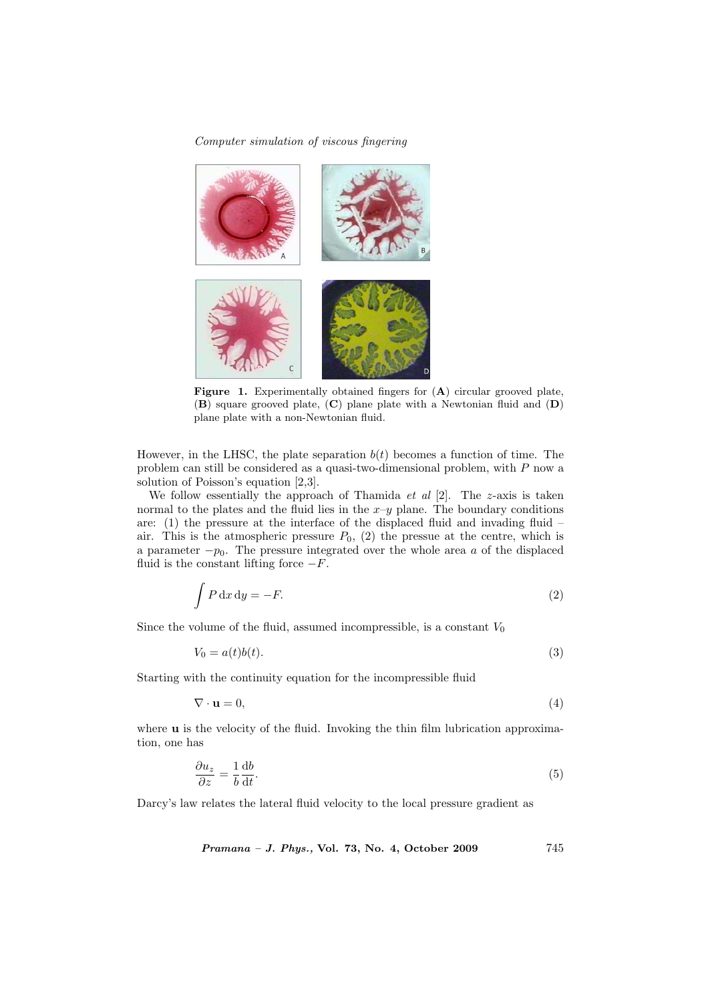

Figure 1. Experimentally obtained fingers for  $(A)$  circular grooved plate, (B) square grooved plate, (C) plane plate with a Newtonian fluid and (D) plane plate with a non-Newtonian fluid.

However, in the LHSC, the plate separation  $b(t)$  becomes a function of time. The problem can still be considered as a quasi-two-dimensional problem, with P now a solution of Poisson's equation [2,3].

We follow essentially the approach of Thamida  $et$  al  $[2]$ . The z-axis is taken normal to the plates and the fluid lies in the  $x-y$  plane. The boundary conditions are: (1) the pressure at the interface of the displaced fluid and invading fluid – air. This is the atmospheric pressure  $P_0$ , (2) the pressue at the centre, which is a parameter  $-p_0$ . The pressure integrated over the whole area a of the displaced fluid is the constant lifting force  $-F$ .

$$
\int P \, dx \, dy = -F. \tag{2}
$$

Since the volume of the fluid, assumed incompressible, is a constant  $V_0$ 

$$
V_0 = a(t)b(t). \tag{3}
$$

Starting with the continuity equation for the incompressible fluid

$$
\nabla \cdot \mathbf{u} = 0,\tag{4}
$$

where  $\bf{u}$  is the velocity of the fluid. Invoking the thin film lubrication approximation, one has

$$
\frac{\partial u_z}{\partial z} = \frac{1}{b} \frac{\mathrm{d}b}{\mathrm{d}t}.\tag{5}
$$

Darcy's law relates the lateral fluid velocity to the local pressure gradient as

Pramana – J. Phys., Vol. 73, No. 4, October 2009

\n
$$
745
$$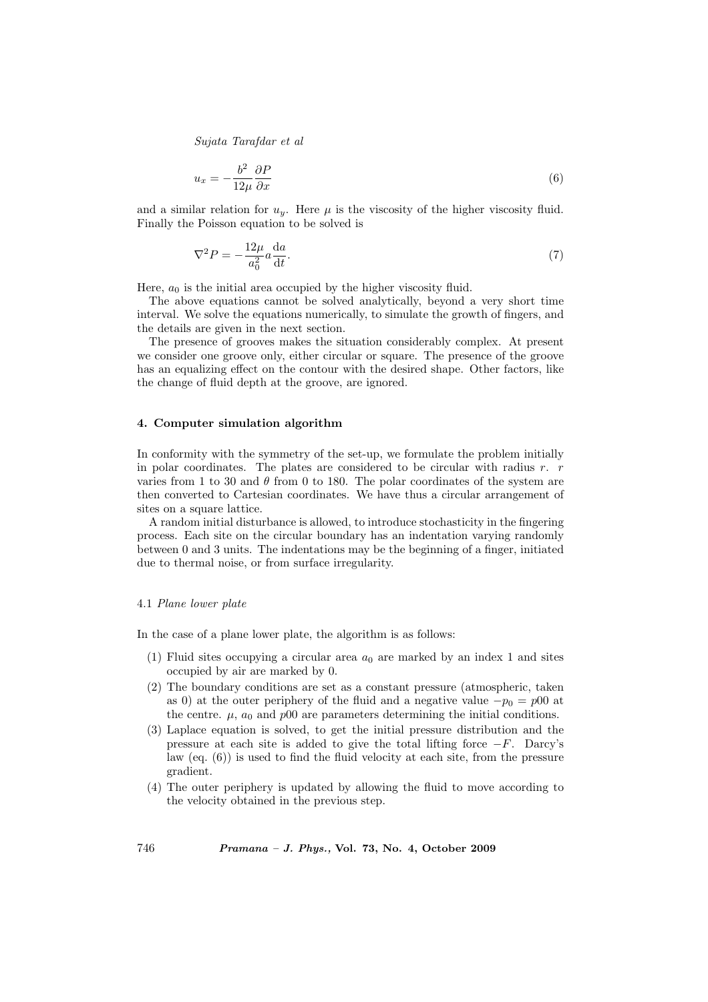Sujata Tarafdar et al

$$
u_x = -\frac{b^2}{12\mu} \frac{\partial P}{\partial x} \tag{6}
$$

and a similar relation for  $u_y$ . Here  $\mu$  is the viscosity of the higher viscosity fluid. Finally the Poisson equation to be solved is

$$
\nabla^2 P = -\frac{12\mu}{a_0^2} a \frac{\mathrm{d}a}{\mathrm{d}t}.\tag{7}
$$

Here,  $a_0$  is the initial area occupied by the higher viscosity fluid.

The above equations cannot be solved analytically, beyond a very short time interval. We solve the equations numerically, to simulate the growth of fingers, and the details are given in the next section.

The presence of grooves makes the situation considerably complex. At present we consider one groove only, either circular or square. The presence of the groove has an equalizing effect on the contour with the desired shape. Other factors, like the change of fluid depth at the groove, are ignored.

# 4. Computer simulation algorithm

In conformity with the symmetry of the set-up, we formulate the problem initially in polar coordinates. The plates are considered to be circular with radius  $r$ .  $r$ varies from 1 to 30 and  $\theta$  from 0 to 180. The polar coordinates of the system are then converted to Cartesian coordinates. We have thus a circular arrangement of sites on a square lattice.

A random initial disturbance is allowed, to introduce stochasticity in the fingering process. Each site on the circular boundary has an indentation varying randomly between 0 and 3 units. The indentations may be the beginning of a finger, initiated due to thermal noise, or from surface irregularity.

# 4.1 Plane lower plate

In the case of a plane lower plate, the algorithm is as follows:

- (1) Fluid sites occupying a circular area  $a_0$  are marked by an index 1 and sites occupied by air are marked by 0.
- (2) The boundary conditions are set as a constant pressure (atmospheric, taken as 0) at the outer periphery of the fluid and a negative value  $-p_0 = p00$  at the centre.  $\mu$ ,  $a_0$  and  $p00$  are parameters determining the initial conditions.
- (3) Laplace equation is solved, to get the initial pressure distribution and the pressure at each site is added to give the total lifting force  $-F$ . Darcy's law (eq. (6)) is used to find the fluid velocity at each site, from the pressure gradient.
- (4) The outer periphery is updated by allowing the fluid to move according to the velocity obtained in the previous step.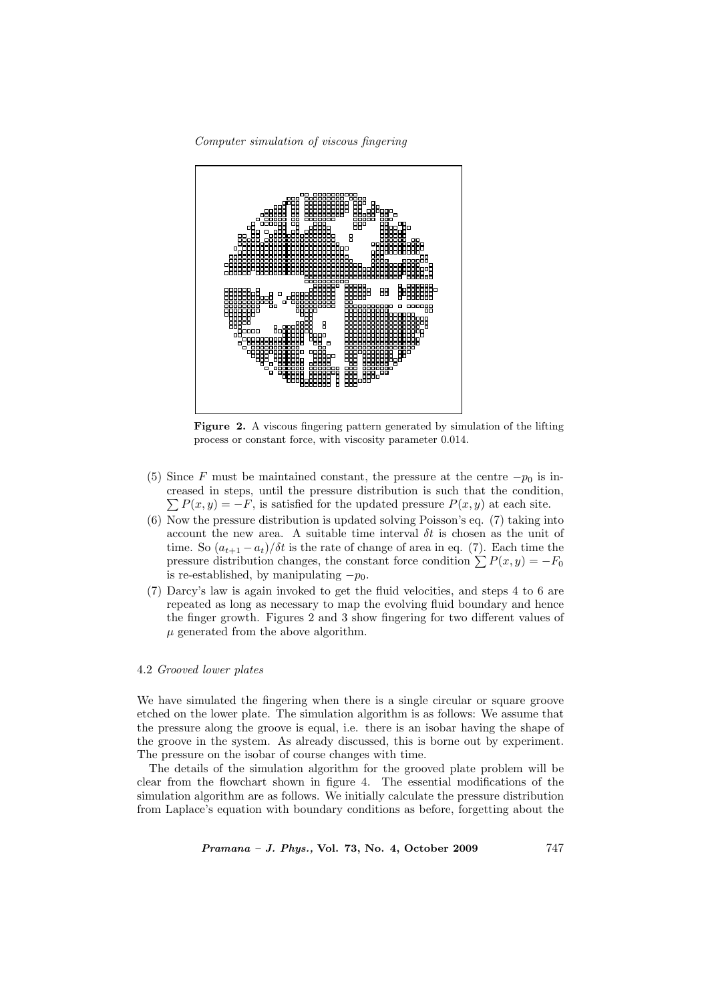

Figure 2. A viscous fingering pattern generated by simulation of the lifting process or constant force, with viscosity parameter 0.014.

- (5) Since F must be maintained constant, the pressure at the centre  $-p_0$  is increased in steps, until the pressure distribution is such that the condition,  $\sum P(x, y) = -F$ , is satisfied for the updated pressure  $P(x, y)$  at each site.
- (6) Now the pressure distribution is updated solving Poisson's eq. (7) taking into account the new area. A suitable time interval  $\delta t$  is chosen as the unit of time. So  $(a_{t+1} - a_t)/\delta t$  is the rate of change of area in eq. (7). Each time the pressure distribution changes, the constant force condition  $\sum P(x, y) = -F_0$ is re-established, by manipulating  $-p_0$ .
- (7) Darcy's law is again invoked to get the fluid velocities, and steps 4 to 6 are repeated as long as necessary to map the evolving fluid boundary and hence the finger growth. Figures 2 and 3 show fingering for two different values of  $\mu$  generated from the above algorithm.

# 4.2 Grooved lower plates

We have simulated the fingering when there is a single circular or square groove etched on the lower plate. The simulation algorithm is as follows: We assume that the pressure along the groove is equal, i.e. there is an isobar having the shape of the groove in the system. As already discussed, this is borne out by experiment. The pressure on the isobar of course changes with time.

The details of the simulation algorithm for the grooved plate problem will be clear from the flowchart shown in figure 4. The essential modifications of the simulation algorithm are as follows. We initially calculate the pressure distribution from Laplace's equation with boundary conditions as before, forgetting about the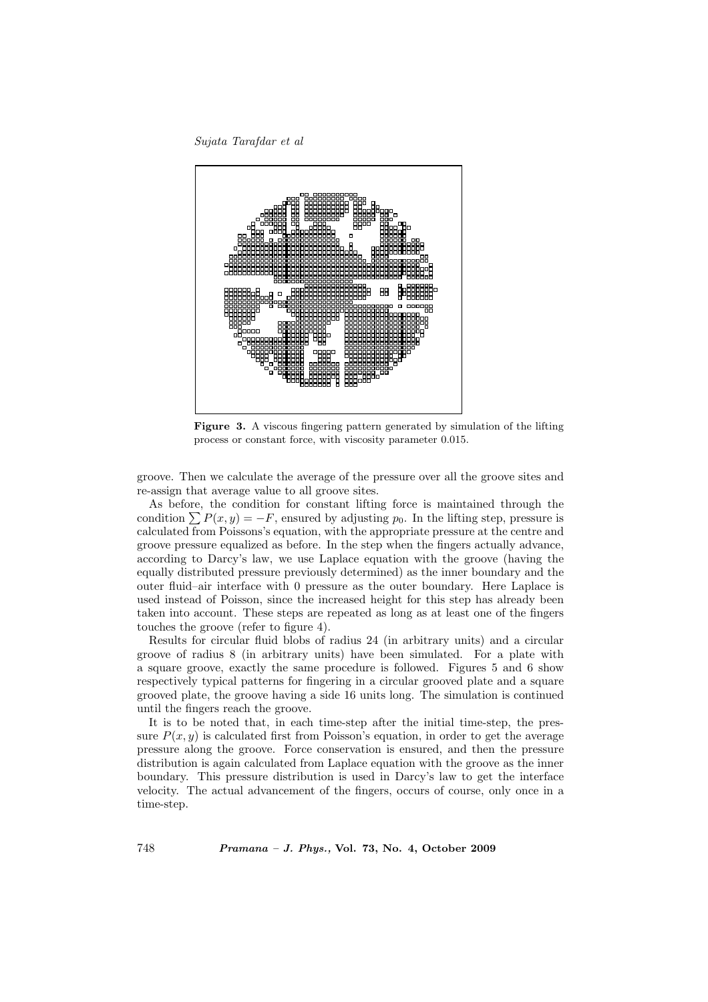Sujata Tarafdar et al



Figure 3. A viscous fingering pattern generated by simulation of the lifting process or constant force, with viscosity parameter 0.015.

groove. Then we calculate the average of the pressure over all the groove sites and re-assign that average value to all groove sites.

As before, the condition for constant lifting force is maintained through the condition  $\sum P(x, y) = -F$ , ensured by adjusting  $p_0$ . In the lifting step, pressure is calculated from Poissons's equation, with the appropriate pressure at the centre and groove pressure equalized as before. In the step when the fingers actually advance, according to Darcy's law, we use Laplace equation with the groove (having the equally distributed pressure previously determined) as the inner boundary and the outer fluid–air interface with 0 pressure as the outer boundary. Here Laplace is used instead of Poisson, since the increased height for this step has already been taken into account. These steps are repeated as long as at least one of the fingers touches the groove (refer to figure 4).

Results for circular fluid blobs of radius 24 (in arbitrary units) and a circular groove of radius 8 (in arbitrary units) have been simulated. For a plate with a square groove, exactly the same procedure is followed. Figures 5 and 6 show respectively typical patterns for fingering in a circular grooved plate and a square grooved plate, the groove having a side 16 units long. The simulation is continued until the fingers reach the groove.

It is to be noted that, in each time-step after the initial time-step, the pressure  $P(x, y)$  is calculated first from Poisson's equation, in order to get the average pressure along the groove. Force conservation is ensured, and then the pressure distribution is again calculated from Laplace equation with the groove as the inner boundary. This pressure distribution is used in Darcy's law to get the interface velocity. The actual advancement of the fingers, occurs of course, only once in a time-step.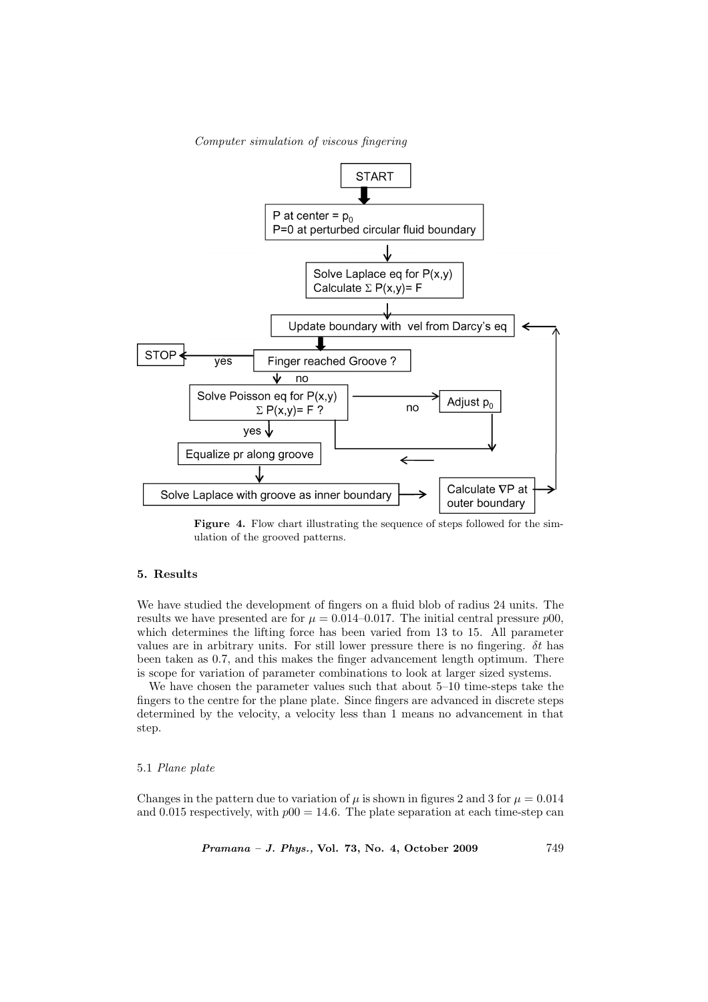

Figure 4. Flow chart illustrating the sequence of steps followed for the simulation of the grooved patterns.

# 5. Results

We have studied the development of fingers on a fluid blob of radius 24 units. The results we have presented are for  $\mu = 0.014{\text{-}}0.017$ . The initial central pressure  $p00$ , which determines the lifting force has been varied from 13 to 15. All parameter values are in arbitrary units. For still lower pressure there is no fingering.  $\delta t$  has been taken as 0.7, and this makes the finger advancement length optimum. There is scope for variation of parameter combinations to look at larger sized systems.

We have chosen the parameter values such that about 5–10 time-steps take the fingers to the centre for the plane plate. Since fingers are advanced in discrete steps determined by the velocity, a velocity less than 1 means no advancement in that step.

# 5.1 Plane plate

Changes in the pattern due to variation of  $\mu$  is shown in figures 2 and 3 for  $\mu = 0.014$ and 0.015 respectively, with  $p00 = 14.6$ . The plate separation at each time-step can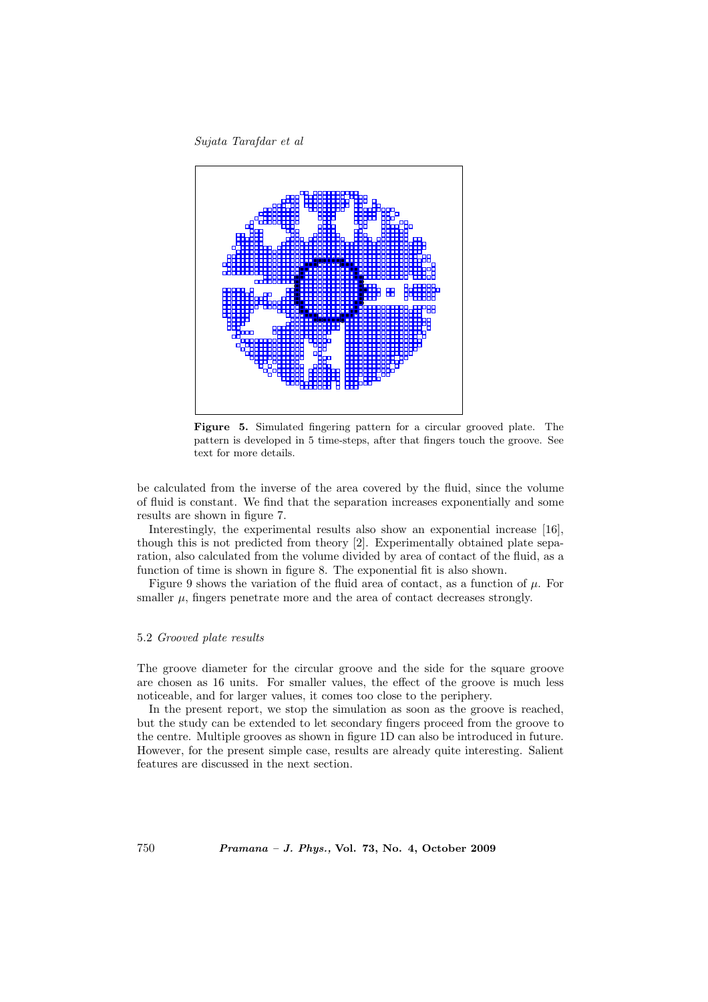Sujata Tarafdar et al



Figure 5. Simulated fingering pattern for a circular grooved plate. The pattern is developed in 5 time-steps, after that fingers touch the groove. See text for more details.

be calculated from the inverse of the area covered by the fluid, since the volume of fluid is constant. We find that the separation increases exponentially and some results are shown in figure 7.

Interestingly, the experimental results also show an exponential increase [16], though this is not predicted from theory [2]. Experimentally obtained plate separation, also calculated from the volume divided by area of contact of the fluid, as a function of time is shown in figure 8. The exponential fit is also shown.

Figure 9 shows the variation of the fluid area of contact, as a function of  $\mu$ . For smaller  $\mu$ , fingers penetrate more and the area of contact decreases strongly.

## 5.2 Grooved plate results

The groove diameter for the circular groove and the side for the square groove are chosen as 16 units. For smaller values, the effect of the groove is much less noticeable, and for larger values, it comes too close to the periphery.

In the present report, we stop the simulation as soon as the groove is reached, but the study can be extended to let secondary fingers proceed from the groove to the centre. Multiple grooves as shown in figure 1D can also be introduced in future. However, for the present simple case, results are already quite interesting. Salient features are discussed in the next section.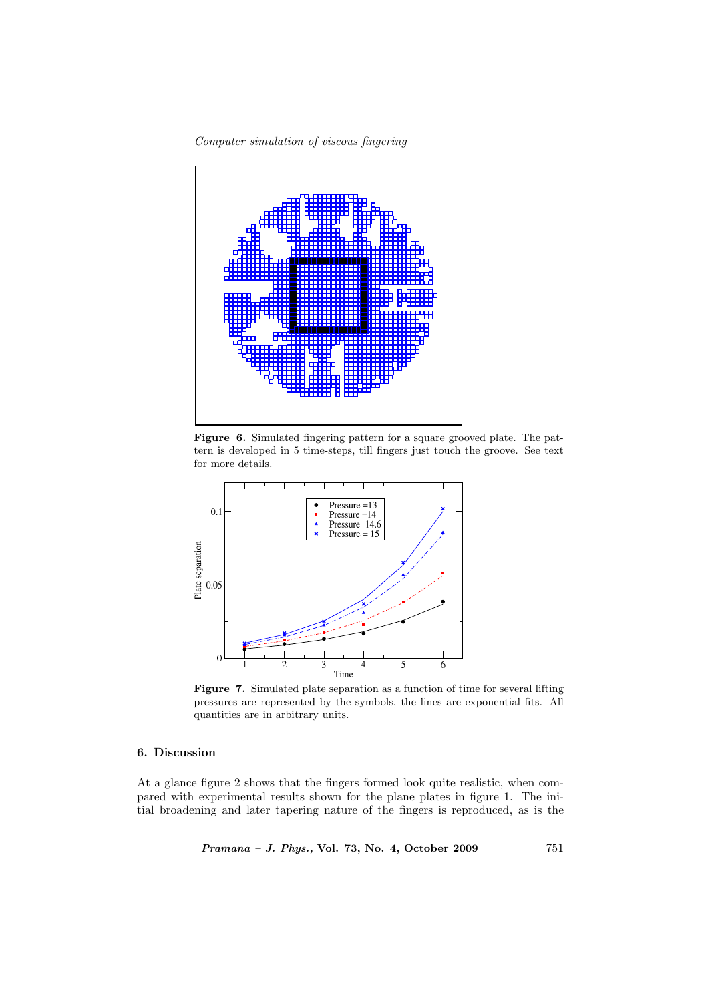Computer simulation of viscous fingering



Figure 6. Simulated fingering pattern for a square grooved plate. The pattern is developed in 5 time-steps, till fingers just touch the groove. See text for more details.



Figure 7. Simulated plate separation as a function of time for several lifting pressures are represented by the symbols, the lines are exponential fits. All quantities are in arbitrary units.

# 6. Discussion

At a glance figure 2 shows that the fingers formed look quite realistic, when compared with experimental results shown for the plane plates in figure 1. The initial broadening and later tapering nature of the fingers is reproduced, as is the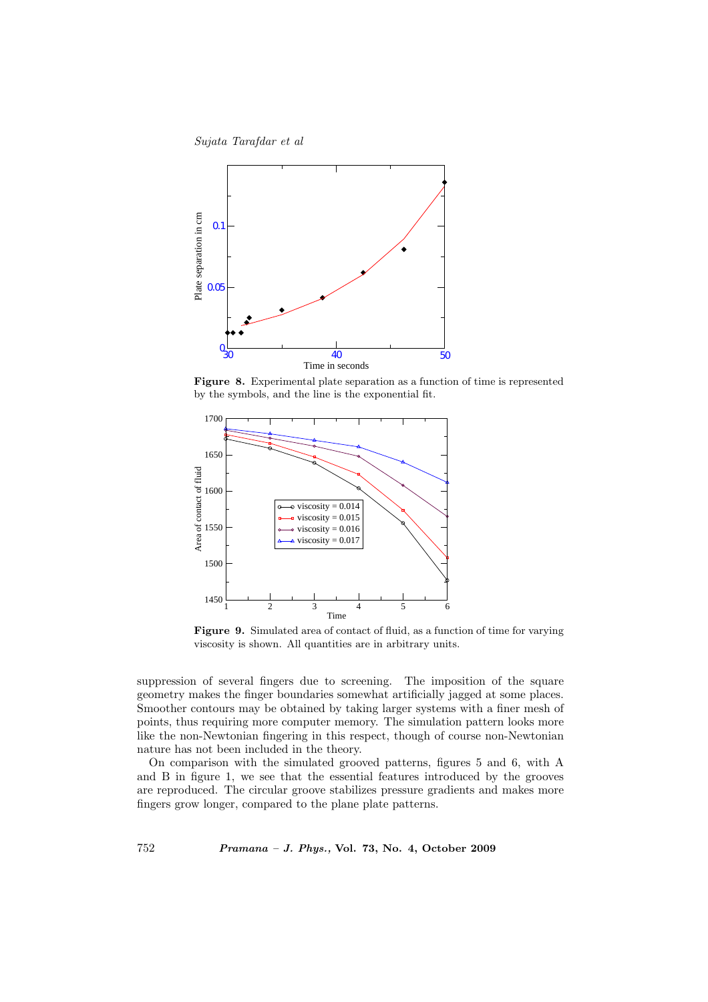Sujata Tarafdar et al



Figure 8. Experimental plate separation as a function of time is represented by the symbols, and the line is the exponential fit.



Figure 9. Simulated area of contact of fluid, as a function of time for varying viscosity is shown. All quantities are in arbitrary units.

suppression of several fingers due to screening. The imposition of the square geometry makes the finger boundaries somewhat artificially jagged at some places. Smoother contours may be obtained by taking larger systems with a finer mesh of points, thus requiring more computer memory. The simulation pattern looks more like the non-Newtonian fingering in this respect, though of course non-Newtonian nature has not been included in the theory.

On comparison with the simulated grooved patterns, figures 5 and 6, with A and B in figure 1, we see that the essential features introduced by the grooves are reproduced. The circular groove stabilizes pressure gradients and makes more fingers grow longer, compared to the plane plate patterns.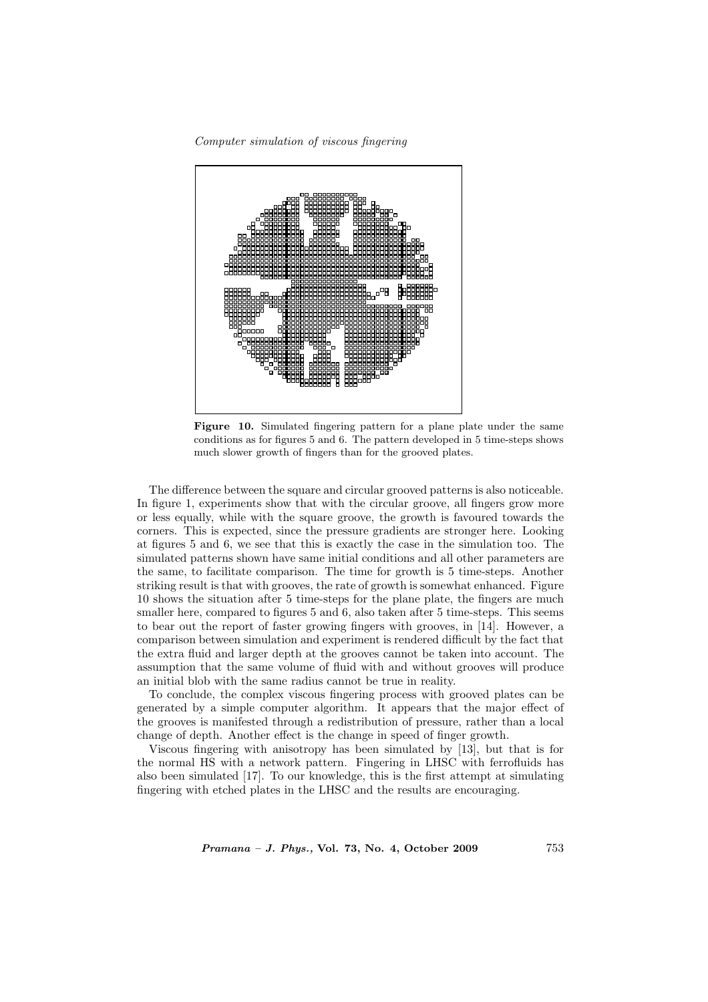

Figure 10. Simulated fingering pattern for a plane plate under the same conditions as for figures 5 and 6. The pattern developed in 5 time-steps shows much slower growth of fingers than for the grooved plates.

The difference between the square and circular grooved patterns is also noticeable. In figure 1, experiments show that with the circular groove, all fingers grow more or less equally, while with the square groove, the growth is favoured towards the corners. This is expected, since the pressure gradients are stronger here. Looking at figures 5 and 6, we see that this is exactly the case in the simulation too. The simulated patterns shown have same initial conditions and all other parameters are the same, to facilitate comparison. The time for growth is 5 time-steps. Another striking result is that with grooves, the rate of growth is somewhat enhanced. Figure 10 shows the situation after 5 time-steps for the plane plate, the fingers are much smaller here, compared to figures 5 and 6, also taken after 5 time-steps. This seems to bear out the report of faster growing fingers with grooves, in [14]. However, a comparison between simulation and experiment is rendered difficult by the fact that the extra fluid and larger depth at the grooves cannot be taken into account. The assumption that the same volume of fluid with and without grooves will produce an initial blob with the same radius cannot be true in reality.

To conclude, the complex viscous fingering process with grooved plates can be generated by a simple computer algorithm. It appears that the major effect of the grooves is manifested through a redistribution of pressure, rather than a local change of depth. Another effect is the change in speed of finger growth.

Viscous fingering with anisotropy has been simulated by [13], but that is for the normal HS with a network pattern. Fingering in LHSC with ferrofluids has also been simulated [17]. To our knowledge, this is the first attempt at simulating fingering with etched plates in the LHSC and the results are encouraging.